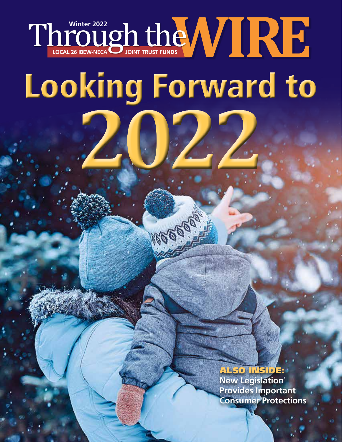# **LOCAL 26 IBEW-NECA JOINT TRUST FUNDS Through the WIRE** Looking Forward to **2022**

MAGGES !

### ALSO INSIDE:

**New Legislation Provides Important Consumer Protections**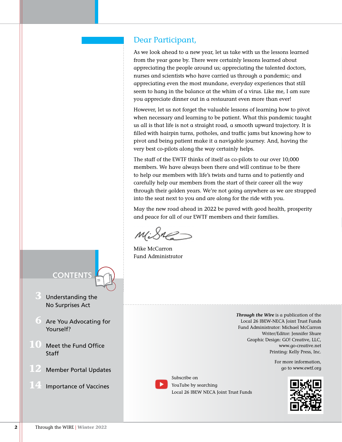#### Dear Participant,

As we look ahead to a new year, let us take with us the lessons learned from the year gone by. There were certainly lessons learned about appreciating the people around us; appreciating the talented doctors, nurses and scientists who have carried us through a pandemic; and appreciating even the most mundane, everyday experiences that still seem to hang in the balance at the whim of a virus. Like me, I am sure you appreciate dinner out in a restaurant even more than ever!

However, let us not forget the valuable lessons of learning how to pivot when necessary and learning to be patient. What this pandemic taught us all is that life is not a straight road, a smooth upward trajectory. It is filled with hairpin turns, potholes, and traffic jams but knowing how to pivot and being patient make it a navigable journey. And, having the very best co-pilots along the way certainly helps.

The staff of the EWTF thinks of itself as co-pilots to our over 10,000 members. We have always been there and will continue to be there to help our members with life's twists and turns and to patiently and carefully help our members from the start of their career all the way through their golden years. We're not going anywhere as we are strapped into the seat next to you and are along for the ride with you.

May the new road ahead in 2022 be paved with good health, prosperity and peace for all of our EWTF members and their families.

Subscribe on

YouTube by searching

Local 26 IBEW NECA Joint Trust Funds

Mike McCarron Fund Administrator

*Through the Wire* is a publication of the Local 26 IBEW-NECA Joint Trust Funds Fund Administrator: Michael McCarron Writer/Editor: Jennifer Shure Graphic Design: GO! Creative, LLC, [www.go-creative.net](http://www.go-creative.net) Printing: Kelly Press, Inc.

> For more information, go to <www.ewtf.org>



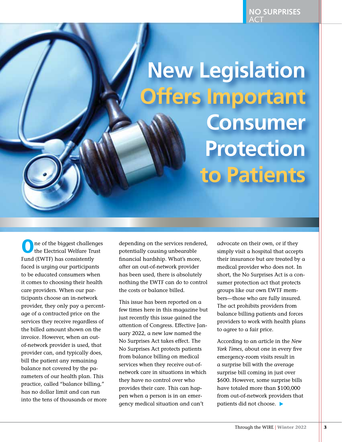<span id="page-2-0"></span>**New Legislation Offers Important Consumer Protection to Patients**

One of the biggest challenges the Electrical Welfare Trust Fund (EWTF) has consistently faced is urging our participants to be educated consumers when it comes to choosing their health care providers. When our participants choose an in-network provider, they only pay a percentage of a contracted price on the services they receive regardless of the billed amount shown on the invoice. However, when an outof-network provider is used, that provider can, and typically does, bill the patient any remaining balance not covered by the parameters of our health plan. This practice, called "balance billing," has no dollar limit and can run into the tens of thousands or more

depending on the services rendered, potentially causing unbearable financial hardship. What's more, after an out-of-network provider has been used, there is absolutely nothing the EWTF can do to control the costs or balance billed.

This issue has been reported on a few times here in this magazine but just recently this issue gained the attention of Congress. Effective January 2022, a new law named the No Surprises Act takes effect. The No Surprises Act protects patients from balance billing on medical services when they receive out-ofnetwork care in situations in which they have no control over who provides their care. This can happen when a person is in an emergency medical situation and can't

advocate on their own, or if they simply visit a hospital that accepts their insurance but are treated by a medical provider who does not. In short, the No Surprises Act is a consumer protection act that protects groups like our own EWTF members—those who are fully insured. The act prohibits providers from balance billing patients and forces providers to work with health plans to agree to a fair price.

 patients did not choose. According to an article in the *New York Times*, about one in every five emergency-room visits result in a surprise bill with the average surprise bill coming in just over \$600. However, some surprise bills have totaled more than \$100,000 from out-of-network providers that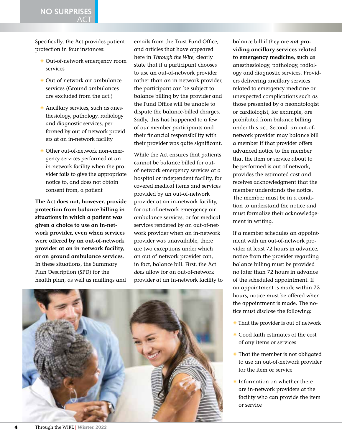**NO SURPRISES**  ACT

Specifically, the Act provides patient protection in four instances:

- S Out-of-network emergency room services
- S Out-of-network air ambulance services (Ground ambulances are excluded from the act.)
- **Ancillary services, such as anes**thesiology, pathology, radiology and diagnostic services, performed by out-of-network providers at an in-network facility
- S Other out-of-network non-emergency services performed at an in-network facility when the provider fails to give the appropriate notice to, and does not obtain consent from, a patient

**The Act does not, however, provide protection from balance billing in situations in which a patient was given a choice to use an in-network provider, even when services were offered by an out-of-network provider at an in-network facility, or on ground ambulance services.**  In these situations, the Summary Plan Description (SPD) for the health plan, as well as mailings and

emails from the Trust Fund Office, and articles that have appeared here in *Through the Wire*, clearly state that if a participant chooses to use an out-of-network provider rather than an in-network provider, the participant can be subject to balance billing by the provider and the Fund Office will be unable to dispute the balance-billed charges. Sadly, this has happened to a few of our member participants and their financial responsibility with their provider was quite significant.

While the Act ensures that patients cannot be balance billed for outof-network emergency services at a hospital or independent facility, for covered medical items and services provided by an out-of-network provider at an in-network facility, for out-of-network emergency air ambulance services, or for medical services rendered by an out-of-network provider when an in-network provider was unavailable, there are two exceptions under which an out-of-network provider can, in fact, balance bill. First, the Act *does* allow for an out-of-network provider at an in-network facility to



balance bill if they are *not* **providing ancillary services related to emergency medicine**, such as anesthesiology, pathology, radiology and diagnostic services. Providers delivering ancillary services related to emergency medicine or unexpected complications such as those presented by a neonatologist or cardiologist, for example, are prohibited from balance billing under this act. Second, an out-ofnetwork provider may balance bill a member if that provider offers advanced notice to the member that the item or service about to be performed is out of network, provides the estimated cost and receives acknowledgment that the member understands the notice. The member must be in a condition to understand the notice and must formalize their acknowledgement in writing.

If a member schedules an appointment with an out-of-network provider at least 72 hours in advance, notice from the provider regarding balance billing must be provided no later than 72 hours in advance of the scheduled appointment. If an appointment is made within 72 hours, notice must be offered when the appointment is made. The notice must disclose the following:

- That the provider is out of network
- Good faith estimates of the cost of any items or services
- That the member is not obligated to use an out-of-network provider for the item or service
- Information on whether there are in-network providers at the facility who can provide the item or service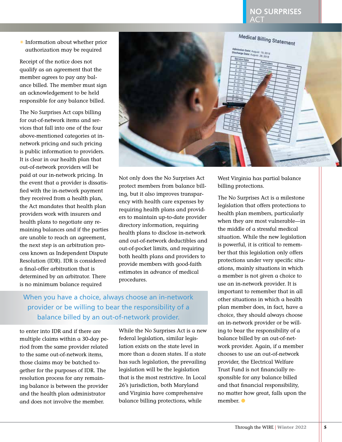#### **NO SURPRISES**  ACT

S Information about whether prior authorization may be required

Receipt of the notice does not qualify as an agreement that the member agrees to pay any balance billed. The member must sign an acknowledgement to be held responsible for any balance billed.

The No Surprises Act caps billing for out-of-network items and services that fall into one of the four above-mentioned categories at innetwork pricing and such pricing is public information to providers. It is clear in our health plan that out-of-network providers will be paid at our in-network pricing. In the event that a provider is dissatisfied with the in-network payment they received from a health plan, the Act mandates that health plan providers work with insurers and health plans to negotiate any remaining balances and if the parties are unable to reach an agreement, the next step is an arbitration process known as Independent Dispute Resolution (IDR). IDR is considered a final-offer arbitration that is determined by an arbitrator. There is no minimum balance required



Not only does the No Surprises Act protect members from balance billing, but it also improves transparency with health care expenses by requiring health plans and providers to maintain up-to-date provider directory information, requiring health plans to disclose in-network and out-of-network deductibles and out-of-pocket limits, and requiring both health plans and providers to provide members with good-faith estimates in advance of medical procedures.

When you have a choice, always choose an in-network provider or be willing to bear the responsibility of a balance billed by an out-of-network provider.

to enter into IDR and if there are multiple claims within a 30-day period from the same provider related to the same out-of-network items, those claims may be batched together for the purposes of IDR. The resolution process for any remaining balance is between the provider and the health plan administrator and does not involve the member.

While the No Surprises Act is a new federal legislation, similar legislation exists on the state level in more than a dozen states. If a state has such legislation, the prevailing legislation will be the legislation that is the most restrictive. In Local 26's jurisdiction, both Maryland and Virginia have comprehensive balance billing protections, while

West Virginia has partial balance billing protections.

The No Surprises Act is a milestone legislation that offers protections to health plan members, particularly when they are most vulnerable—in the middle of a stressful medical situation. While the new legislation is powerful, it is critical to remember that this legislation only offers protections under very specific situations, mainly situations in which a member is not given a choice to use an in-network provider. It is important to remember that in all other situations in which a health plan member does, in fact, have a choice, they should always choose an in-network provider or be willing to bear the responsibility of a balance billed by an out-of-network provider. Again, if a member chooses to use an out-of-network provider, the Electrical Welfare Trust Fund is not financially responsible for any balance billed and that financial responsibility, no matter how great, falls upon the member. ●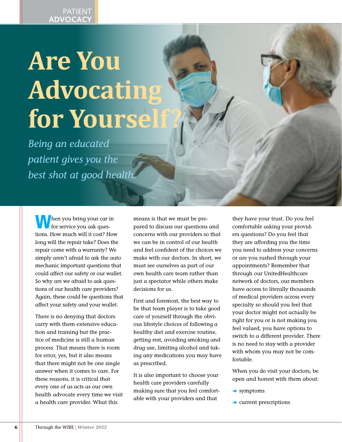## **Are You Advocating for Yoursel**

*Being an educated patient gives you the best shot at good health.*

**h** hen you bring your car in for service you ask questions. How much will it cost? How long will the repair take? Does the repair come with a warranty? We simply aren't afraid to ask the auto mechanic important questions that could affect our safety or our wallet. So why are we afraid to ask questions of our health care providers? Again, these could be questions that affect your safety and your wallet.

There is no denying that doctors carry with them extensive education and training but the practice of medicine is still a human process. That means there is room for error, yes, but it also means that there might not be one single answer when it comes to care. For these reasons, it is critical that every one of us acts as our own health advocate every time we visit a health care provider. What this

means is that we must be prepared to discuss our questions and concerns with our providers so that we can be in control of our health and feel confident of the choices we make with our doctors. In short, we must see ourselves as part of our own health care team rather than just a spectator while others make decisions for us.

First and foremost, the best way to be that team player is to take good care of yourself through the obvious lifestyle choices of following a healthy diet and exercise routine, getting rest, avoiding smoking and drug use, limiting alcohol and taking any medications you may have as prescribed.

It is also important to choose your health care providers carefully making sure that you feel comfortable with your providers and that

they have your trust. Do you feel comfortable asking your providers questions? Do you feel that they are affording you the time you need to address your concerns or are you rushed through your appointments? Remember that through our UnitedHealthcare network of doctors, our members have access to literally thousands of medical providers across every specialty so should you feel that your doctor might not actually be right for you or is not making you feel valued, you have options to switch to a different provider. There is no need to stay with a provider with whom you may not be comfortable.

When you do visit your doctors, be open and honest with them about:

- $\rightarrow$  symptoms
- $\rightarrow$  current prescriptions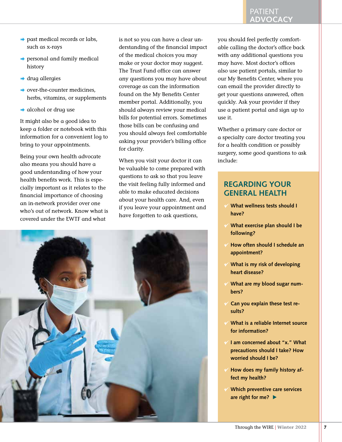- $\rightarrow$  past medical records or labs, such as x-rays
- $\rightarrow$  personal and family medical history
- $\rightarrow$  drug allergies
- $\rightarrow$  over-the-counter medicines, herbs, vitamins, or supplements
- $\rightarrow$  alcohol or drug use

It might also be a good idea to keep a folder or notebook with this information for a convenient log to bring to your appointments.

Being your own health advocate also means you should have a good understanding of how your health benefits work. This is especially important as it relates to the financial importance of choosing an in-network provider over one who's out of network. Know what is covered under the EWTF and what

is not so you can have a clear understanding of the financial impact of the medical choices you may make or your doctor may suggest. The Trust Fund office can answer any questions you may have about coverage as can the information found on the My Benefits Center member portal. Additionally, you should always review your medical bills for potential errors. Sometimes those bills can be confusing and you should always feel comfortable asking your provider's billing office for clarity.

When you visit your doctor it can be valuable to come prepared with questions to ask so that you leave the visit feeling fully informed and able to make educated decisions about your health care. And, even if you leave your appointment and have forgotten to ask questions,



#### PATIENT **ADVOCACY**

you should feel perfectly comfortable calling the doctor's office back with any additional questions you may have. Most doctor's offices also use patient portals, similar to our My Benefits Center, where you can email the provider directly to get your questions answered, often quickly. Ask your provider if they use a patient portal and sign up to use it.

Whether a primary care doctor or a specialty care doctor treating you for a health condition or possibly surgery, some good questions to ask include:

#### **REGARDING YOUR GENERAL HEALTH**

- ; **What wellness tests should I have?**
- ; **What exercise plan should I be following?**
- ; **How often should I schedule an appointment?**
- ; **What is my risk of developing heart disease?**
- ; **What are my blood sugar numbers?**
- ; **Can you explain these test results?**
- ; **What is a reliable Internet source for information?**
- ; **I am concerned about "x." What precautions should I take? How worried should I be?**
- ; **How does my family history affect my health?**
- ; **Which preventive care services are right for me?**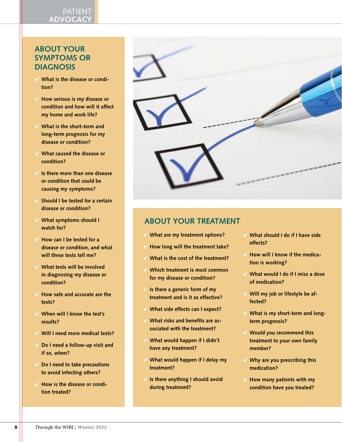#### PATIENT **ADVOCACY**

#### **ABOUT YOUR SYMPTOMS OR DIAGNOSIS**

- ; **What is the disease or condition?**
- ; **How serious is my disease or condition and how will it affect my home and work life?**
- ; **What is the short-term and long-term prognosis for my disease or condition?**
- ; **What caused the disease or condition?**
- ; **Is there more than one disease or condition that could be causing my symptoms?**
- ; **Should I be tested for a certain disease or condition?**
- ; **What symptoms should I watch for?**
- ; **How can I be tested for a disease or condition, and what will these tests tell me?**
- ; **What tests will be involved in diagnosing my disease or condition?**
- ; **How safe and accurate are the tests?**
- ; **When will I know the test's results?**
- ; **Will I need more medical tests?**
- ; **Do I need a follow-up visit and if so, when?**
- ; **Do I need to take precautions to avoid infecting others?**
- ; **How is the disease or condition treated?**

| <b>Section</b> |
|----------------|

#### **ABOUT YOUR TREATMENT**

- ; **What are my treatment options?**
- ; **How long will the treatment take?**
- ; **What is the cost of the treatment?**
- ; **Which treatment is most common for my disease or condition?**
- ; **Is there a generic form of my treatment and is it as effective?**
- ; **What side effects can I expect?**
- ; **What risks and benefits are associated with the treatment?**
- ; **What would happen if I didn't have any treatment?**
- ; **What would happen if I delay my treatment?**
- ; **Is there anything I should avoid during treatment?**
- ; **What should I do if I have side effects?**
- ; **How will I know if the medication is working?**
- ; **What would I do if I miss a dose of medication?**
- ; **Will my job or lifestyle be affected?**
- ; **What is my short-term and longterm prognosis?**
- ; **Would you recommend this treatment to your own family member?**
- ; **Why are you prescribing this medication?**
- ; **How many patients with my condition have you treated?**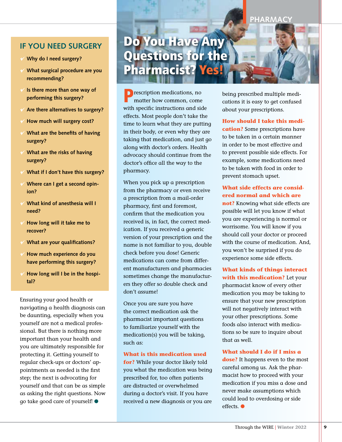#### **IF YOU NEED SURGERY**

- ; **Why do I need surgery?**
- ; **What surgical procedure are you recommending?**
- ; **Is there more than one way of performing this surgery?**
- ; **Are there alternatives to surgery?**
- ; **How much will surgery cost?**
- ; **What are the benefits of having surgery?**
- ; **What are the risks of having surgery?**
- ; **What if I don't have this surgery?**
- ; **Where can I get a second opinion?**
- ; **What kind of anesthesia will I need?**
- ; **How long will it take me to recover?**
- ; **What are your qualifications?**
- ; **How much experience do you have performing this surgery?**
- ; **How long will I be in the hospital?**

Ensuring your good health or navigating a health diagnosis can be daunting, especially when you yourself are not a medical professional. But there is nothing more important than your health and you are ultimately responsible for protecting it. Getting yourself to regular check-ups or doctors' appointments as needed is the first step; the next is advocating for yourself and that can be as simple as asking the right questions. Now go take good care of yourself! ●

## Do You Have Any Questions for the Pharmacist? Yes

**P** rescription medications, no matter how common, come with specific instructions and side effects. Most people don't take the time to learn what they are putting in their body, or even why they are taking that medication, and just go along with doctor's orders. Health advocacy should continue from the doctor's office all the way to the pharmacy.

When you pick up a prescription from the pharmacy or even receive a prescription from a mail-order pharmacy, first and foremost, confirm that the medication you received is, in fact, the correct medication. If you received a generic version of your prescription and the name is not familiar to you, double check before you dose! Generic medications can come from different manufacturers and pharmacies sometimes change the manufacturers they offer so double check and don't assume!

Once you are sure you have the correct medication ask the pharmacist important questions to familiarize yourself with the medication(s) you will be taking, such as:

#### **What is this medication used**

**for?** While your doctor likely told you what the medication was being prescribed for, too often patients are distracted or overwhelmed during a doctor's visit. If you have received a new diagnosis or you are being prescribed multiple medications it is easy to get confused about your prescriptions.

**How should I take this medi-**

**cation?** Some prescriptions have to be taken in a certain manner in order to be most effective and to prevent possible side effects. For example, some medications need to be taken with food in order to prevent stomach upset.

#### **What side effects are considered normal and which are**

**not?** Knowing what side effects are possible will let you know if what you are experiencing is normal or worrisome. You will know if you should call your doctor or proceed with the course of medication. And, you won't be surprised if you do experience some side effects.

**What kinds of things interact with this medication?** Let your pharmacist know of every other medication you may be taking to ensure that your new prescription will not negatively interact with your other prescriptions. Some foods also interact with medications so be sure to inquire about that as well.

#### **What should I do if I miss a**

**dose?** It happens even to the most careful among us. Ask the pharmacist how to proceed with your medication if you miss a dose and never make assumptions which could lead to overdosing or side effects. ●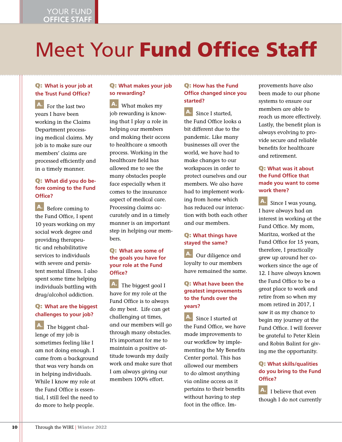## Meet Your Fund Office Staff

#### Q: **What is your job at the Trust Fund Office?**

 For the last two years I have been working in the Claims Department processing medical claims. My job is to make sure our members' claims are processed efficiently and in a timely manner.

#### Q: **What did you do before coming to the Fund Office?**

A. Before coming to the Fund Office, I spent 10 years working on my social work degree and providing therapeutic and rehabilitative services to individuals with severe and persistent mental illness. I also spent some time helping individuals battling with drug/alcohol addiction.

#### Q: **What are the biggest challenges to your job?**

A. The biggest challenge of my job is sometimes feeling like I am not doing enough. I came from a background that was very hands on in helping individuals. While I know my role at the Fund Office is essential, I still feel the need to do more to help people.

#### Q: **What makes your job so rewarding?**

 $\mathbf{A}$ . What makes my job rewarding is knowing that I play a role in helping our members and making their access to healthcare a smooth process. Working in the healthcare field has allowed me to see the many obstacles people face especially when it comes to the insurance aspect of medical care. Processing claims accurately and in a timely manner is an important step in helping our members.

#### Q: **What are some of the goals you have for your role at the Fund Office?**

A. The biggest goal I have for my role at the Fund Office is to always do my best. Life can get challenging at times, and our members will go through many obstacles. It's important for me to maintain a positive attitude towards my daily work and make sure that I am always giving our members 100% effort.

#### Q: **How has the Fund Office changed since you started?**

A. Since I started, the Fund Office looks a bit different due to the pandemic. Like many businesses all over the world, we have had to make changes to our workspaces in order to protect ourselves and our members. We also have had to implement working from home which has reduced our interaction with both each other and our members.

#### Q: **What things have stayed the same?**

A. Our diligence and loyalty to our members have remained the same.

#### Q: **What have been the greatest improvements to the funds over the years?**

A. Since I started at the Fund Office, we have made improvements to our workflow by implementing the My Benefits Center portal. This has allowed our members to do almost anything via online access as it pertains to their benefits without having to step foot in the office. Improvements have also been made to our phone systems to ensure our members are able to reach us more effectively. Lastly, the benefit plan is always evolving to provide secure and reliable benefits for healthcare and retirement.

#### Q: **What was it about the Fund Office that made you want to come work there?**

**A.**  Since I was young, I have always had an interest in working at the Fund Office. My mom, Maritza, worked at the Fund Office for 15 years, therefore, I practically grew up around her coworkers since the age of 12. I have always known the Fund Office to be a great place to work and retire from so when my mom retired in 2017, I saw it as my chance to begin my journey at the Fund Office. I will forever be grateful to Peter Klein and Robin Balint for giving me the opportunity.

#### Q: **What skills/qualities do you bring to the Fund Office?**

 $A.$  I believe that even though I do not currently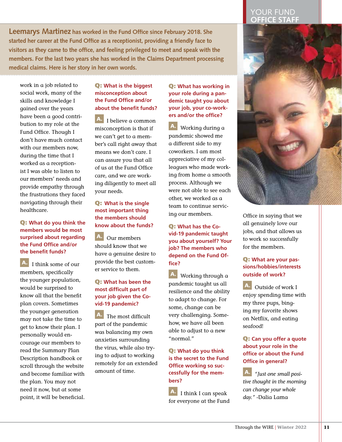**Leemarys Martinez has worked in the Fund Office since February 2018. She started her career at the Fund Office as a receptionist, providing a friendly face to visitors as they came to the office, and feeling privileged to meet and speak with the members. For the last two years she has worked in the Claims Department processing medical claims. Here is her story in her own words.**

work in a job related to social work, many of the skills and knowledge I gained over the years have been a good contribution to my role at the Fund Office. Though I don't have much contact with our members now, during the time that I worked as a receptionist I was able to listen to our members' needs and provide empathy through the frustrations they faced navigating through their healthcare.

#### Q: **What do you think the members would be most surprised about regarding the Fund Office and/or the benefit funds?**

 $\mathbf{A}$ . I think some of our members, specifically the younger population, would be surprised to know all that the benefit plan covers. Sometimes the younger generation may not take the time to get to know their plan. I personally would encourage our members to read the Summary Plan Description handbook or scroll through the website and become familiar with the plan. You may not need it now, but at some point, it will be beneficial.

#### Q: **What is the biggest misconception about the Fund Office and/or about the benefit funds?**

A. I believe a common misconception is that if we can't get to a member's call right away that means we don't care. I can assure you that all of us at the Fund Office care, and we are working diligently to meet all your needs.

#### Q: **What is the single most important thing the members should know about the funds?**

A. Our members should know that we have a genuine desire to provide the best customer service to them.

#### Q: **What has been the most difficult part of your job given the Covid-19 pandemic?**

 The most difficult part of the pandemic was balancing my own anxieties surrounding the virus, while also trying to adjust to working remotely for an extended amount of time.

#### Q: **What has working in your role during a pandemic taught you about your job, your co-workers and/or the office?**

 Working during a pandemic showed me a different side to my coworkers. I am most appreciative of my colleagues who made working from home a smooth process. Although we were not able to see each other, we worked as a team to continue servicing our members.

Q: **What has the Covid-19 pandemic taught you about yourself? Your job? The members who depend on the Fund Office?**

 Working through a pandemic taught us all resilience and the ability to adapt to change. For some, change can be very challenging. Somehow, we have all been able to adjust to a new "normal."

Q: **What do you think is the secret to the Fund Office working so successfully for the members?**

A. I think I can speak for everyone at the Fund

#### YOUR FUND **OFFICE STAFF**



Office in saying that we all genuinely love our jobs, and that allows us to work so successfully for the members.

#### Q: **What are your passions/hobbies/interests outside of work?**

A. Outside of work I enjoy spending time with my three pups, binging my favorite shows on Netflix, and eating seafood!

#### Q: **Can you offer a quote about your role in the office or about the Fund Office in general?**

*"Just one small positive thought in the morning can change your whole day."* -Dalia Lama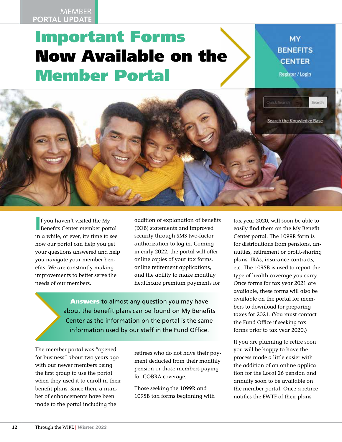#### **MEMBER PORTAL UPDATE**

## **Meet Available on the State State of SENEFITS** Important Forms Now Available on the Member Portal

**Register / Login** 



If you haven't visited the My<br>Benefits Center member portal f you haven't visited the My in a while, or ever, it's time to see how our portal can help you get your questions answered and help you navigate your member benefits. We are constantly making improvements to better serve the needs of our members.

addition of explanation of benefits (EOB) statements and improved security through SMS two-factor authorization to log in. Coming in early 2022, the portal will offer online copies of your tax forms, online retirement applications, and the ability to make monthly healthcare premium payments for

**Answers to almost any question you may have** about the benefit plans can be found on My Benefits Center as the information on the portal is the same information used by our staff in the Fund Office.

The member portal was "opened for business" about two years ago with our newer members being the first group to use the portal when they used it to enroll in their benefit plans. Since then, a number of enhancements have been made to the portal including the

retirees who do not have their payment deducted from their monthly pension or those members paying for COBRA coverage.

Those seeking the 1099R and 1095B tax forms beginning with tax year 2020, will soon be able to easily find them on the My Benefit Center portal. The 1099R form is for distributions from pensions, annuities, retirement or profit-sharing plans, IRAs, insurance contracts, etc. The 1095B is used to report the type of health coverage you carry. Once forms for tax year 2021 are available, these forms will also be available on the portal for members to download for preparing taxes for 2021. (You must contact the Fund Office if seeking tax forms prior to tax year 2020.)

If you are planning to retire soon you will be happy to have the process made a little easier with the addition of an online application for the Local 26 pension and annuity soon to be available on the member portal. Once a retiree notifies the EWTF of their plans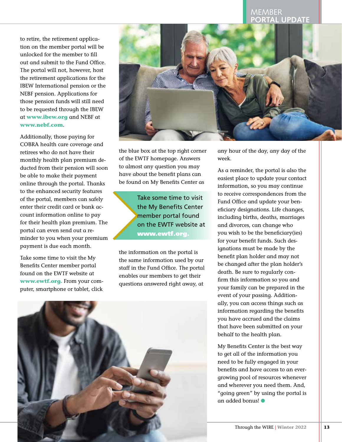#### MEMBER **PORTAL UPDATE**

to retire, the retirement application on the member portal will be unlocked for the member to fill out and submit to the Fund Office. The portal will not, however, host the retirement applications for the IBEW International pension or the NEBF pension. Applications for those pension funds will still need to be requested through the IBEW at **[www.ibew.org](http://www.ibew.org)** and NEBF at **[www.nebf.com](http://www.nebf.com)**.

Additionally, those paying for COBRA health care coverage and retirees who do not have their monthly health plan premium deducted from their pension will soon be able to make their payment online through the portal. Thanks to the enhanced security features of the portal, members can safely enter their credit card or bank account information online to pay for their health plan premium. The portal can even send out a reminder to you when your premium payment is due each month.

Take some time to visit the My Benefits Center member portal found on the EWTF website at **[www.ewtf.org.](http://www.ewtf.org)** From your computer, smartphone or tablet, click



the blue box at the top right corner of the EWTF homepage. Answers to almost any question you may have about the benefit plans can be found on My Benefits Center as

> Take some time to visit the My Benefits Center member portal found on the EWTF website at [www.ewtf.org](http://www.ewtf.org).

the information on the portal is the same information used by our staff in the Fund Office. The portal enables our members to get their questions answered right away, at

any hour of the day, any day of the week.

As a reminder, the portal is also the easiest place to update your contact information, so you may continue to receive correspondences from the Fund Office and update your beneficiary designations. Life changes, including births, deaths, marriages and divorces, can change who you wish to be the beneficiary(ies) for your benefit funds. Such designations must be made by the benefit plan holder and may not be changed after the plan holder's death. Be sure to regularly confirm this information so you and your family can be prepared in the event of your passing. Additionally, you can access things such as information regarding the benefits you have accrued and the claims that have been submitted on your behalf to the health plan.

My Benefits Center is the best way to get all of the information you need to be fully engaged in your benefits and have access to an evergrowing pool of resources whenever and wherever you need them. And, "going green" by using the portal is an added bonus! ●

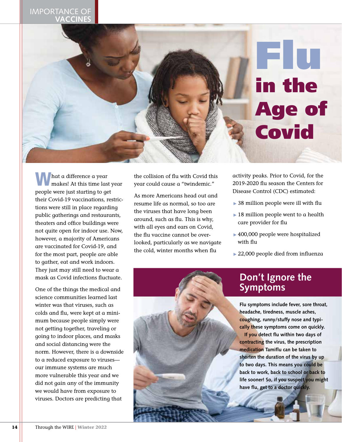#### IMPORTANCE OF **VACCINES**



hat a difference a year makes! At this time last year people were just starting to get their Covid-19 vaccinations, restrictions were still in place regarding public gatherings and restaurants, theaters and office buildings were not quite open for indoor use. Now, however, a majority of Americans are vaccinated for Covid-19, and for the most part, people are able to gather, eat and work indoors. They just may still need to wear a mask as Covid infections fluctuate.

One of the things the medical and science communities learned last winter was that viruses, such as colds and flu, were kept at a minimum because people simply were not getting together, traveling or going to indoor places, and masks and social distancing were the norm. However, there is a downside to a reduced exposure to viruses our immune systems are much more vulnerable this year and we did not gain any of the immunity we would have from exposure to viruses. Doctors are predicting that

the collision of flu with Covid this year could cause a "twindemic."

As more Americans head out and resume life as normal, so too are the viruses that have long been around, such as flu. This is why, with all eyes and ears on Covid, the flu vaccine cannot be overlooked, particularly as we navigate the cold, winter months when flu

activity peaks. Prior to Covid, for the 2019-2020 flu season the Centers for Disease Control (CDC) estimated:

- $\rightarrow$  38 million people were ill with flu
- $\blacktriangleright$  18 million people went to a health care provider for flu
- $\rightarrow$  400,000 people were hospitalized with flu
- ▶ 22,000 people died from influenza

### **Don't Ignore the Symptoms**

**Flu symptoms include fever, sore throat, headache, tiredness, muscle aches, coughing, runny/stuffy nose and typically these symptoms come on quickly. If you detect flu within two days of contracting the virus, the prescription medication Tamiflu can be taken to shorten the duration of the virus by up to two days. This means you could be back to work, back to school or back to life sooner! So, if you suspect you might have flu, get to a doctor quickly.**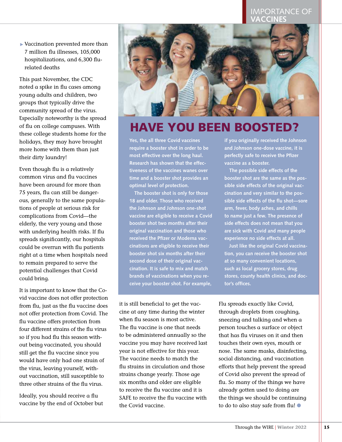#### **IMPORTANCE OF** VACCINES

 $\blacktriangleright$  Vaccination prevented more than 7 million flu illnesses, 105,000 hospitalizations, and 6,300 flurelated deaths

This past November, the CDC noted a spike in flu cases among young adults and children, two groups that typically drive the community spread of the virus. Especially noteworthy is the spread of flu on college campuses. With these college students home for the holidays, they may have brought more home with them than just their dirty laundry!

Even though flu is a relatively common virus and flu vaccines have been around for more than 75 years, flu can still be dangerous, generally to the same populations of people at serious risk for complications from Covid—the elderly, the very young and those with underlying health risks. If flu spreads significantly, our hospitals could be overrun with flu patients right at a time when hospitals need to remain prepared to serve the potential challenges that Covid could bring.

It is important to know that the Covid vaccine does not offer protection from flu, just as the flu vaccine does not offer protection from Covid. The flu vaccine offers protection from four different strains of the flu virus so if you had flu this season without being vaccinated, you should still get the flu vaccine since you would have only had one strain of the virus, leaving yourself, without vaccination, still susceptible to three other strains of the flu virus.

Ideally, you should receive a flu vaccine by the end of October but



## **HAVE YOU BEEN BOOSTED?**

**Yes, the all three Covid vaccines require a booster shot in order to be most effective over the long haul. Research has shown that the effectiveness of the vaccines wanes over time and a booster shot provides an optimal level of protection.**

**The booster shot is only for those 18 and older. Those who received the Johnson and Johnson one-shot vaccine are eligible to receive a Covid booster shot two months after their original vaccination and those who received the Pfizer or Moderna vaccinations are eligible to receive their booster shot six months after their second dose of their original vaccination. It is safe to mix and match brands of vaccinations when you receive your booster shot. For example,** 

it is still beneficial to get the vaccine at any time during the winter when flu season is most active. The flu vaccine is one that needs to be administered annually so the vaccine you may have received last year is not effective for this year. The vaccine needs to match the flu strains in circulation and those strains change yearly. Those age six months and older are eligible to receive the flu vaccine and it is SAFE to receive the flu vaccine with the Covid vaccine.

**if you originally received the Johnson and Johnson one-dose vaccine, it is perfectly safe to receive the Pfizer vaccine as a booster.** 

**The possible side effects of the booster shot are the same as the possible side effects of the original vaccination and very similar to the possible side effects of the flu shot—sore arm, fever, body aches, and chills to name just a few. The presence of side effects does not mean that you are sick with Covid and many people experience no side effects at all.**

**Just like the original Covid vaccination, you can receive the booster shot at so many convenient locations, such as local grocery stores, drug stores, county health clinics, and doctor's offices.** 

Flu spreads exactly like Covid, through droplets from coughing, sneezing and talking and when a person touches a surface or object that has flu viruses on it and then touches their own eyes, mouth or nose. The same masks, disinfecting, social distancing, and vaccination efforts that help prevent the spread of Covid also prevent the spread of flu. So many of the things we have already gotten used to doing are the things we should be continuing to do to also stay safe from flu! ●